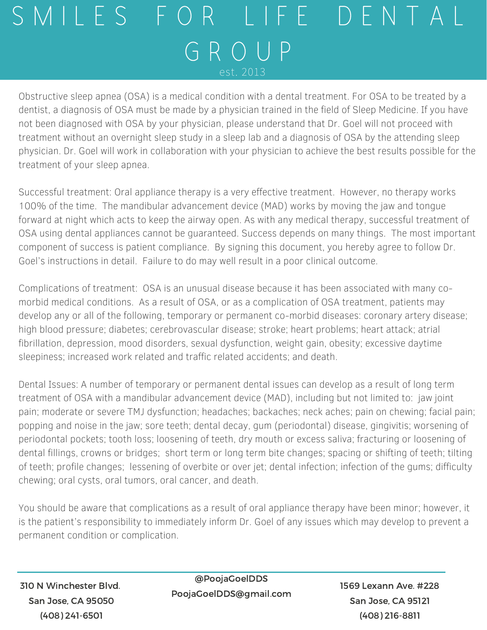## S M I L E S F O R L I F E D E N T A L G R O U P est. 2013

Obstructive sleep apnea (OSA) is a medical condition with a dental treatment. For OSA to be treated by a dentist, a diagnosis of OSA must be made by a physician trained in the field of Sleep Medicine. If you have not been diagnosed with OSA by your physician, please understand that Dr. Goel will not proceed with treatment without an overnight sleep study in a sleep lab and a diagnosis of OSA by the attending sleep physician. Dr. Goel will work in collaboration with your physician to achieve the best results possible for the treatment of your sleep apnea.

Successful treatment: Oral appliance therapy is a very effective treatment. However, no therapy works 100% of the time. The mandibular advancement device (MAD) works by moving the jaw and tongue forward at night which acts to keep the airway open. As with any medical therapy, successful treatment of OSA using dental appliances cannot be guaranteed. Success depends on many things. The most important component of success is patient compliance. By signing this document, you hereby agree to follow Dr. Goel's instructions in detail. Failure to do may well result in a poor clinical outcome.

Complications of treatment: OSA is an unusual disease because it has been associated with many comorbid medical conditions. As a result of OSA, or as a complication of OSA treatment, patients may develop any or all of the following, temporary or permanent co-morbid diseases: coronary artery disease; high blood pressure; diabetes; cerebrovascular disease; stroke; heart problems; heart attack; atrial fibrillation, depression, mood disorders, sexual dysfunction, weight gain, obesity; excessive daytime sleepiness; increased work related and traffic related accidents; and death.

Dental Issues: A number of temporary or permanent dental issues can develop as a result of long term treatment of OSA with a mandibular advancement device (MAD), including but not limited to: jaw joint pain; moderate or severe TMJ dysfunction; headaches; backaches; neck aches; pain on chewing; facial pain; popping and noise in the jaw; sore teeth; dental decay, gum (periodontal) disease, gingivitis; worsening of periodontal pockets; tooth loss; loosening of teeth, dry mouth or excess saliva; fracturing or loosening of dental fillings, crowns or bridges; short term or long term bite changes; spacing or shifting of teeth; tilting of teeth; profile changes; lessening of overbite or over jet; dental infection; infection of the gums; difficulty chewing; oral cysts, oral tumors, oral cancer, and death.

You should be aware that complications as a result of oral appliance therapy have been minor; however, it is the patient's responsibility to immediately inform Dr. Goel of any issues which may develop to prevent a permanent condition or complication.

310 N Winchester Blvd. San Jose, CA 95050 (408) 241-6501

@PoojaGoelDDS PoojaGoelDDS@gmail.com

1569 Lexann Ave. #228 San Jose, CA 95121 (408) 216-8811